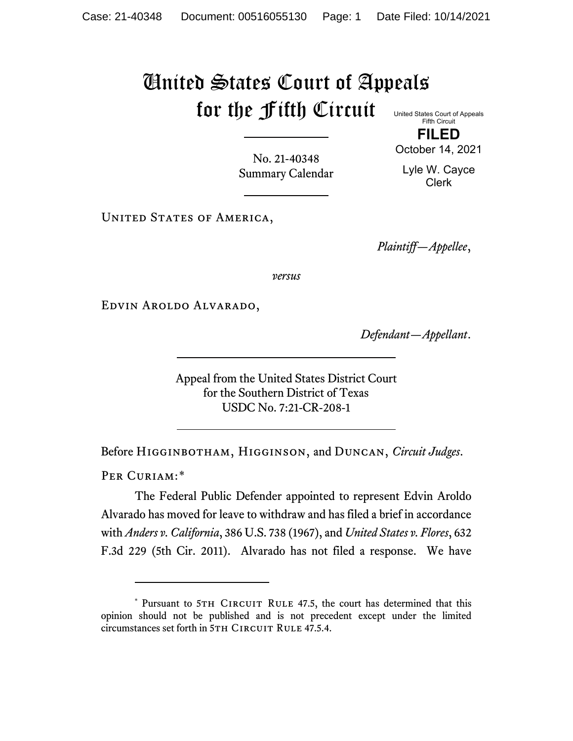## United States Court of Appeals for the Fifth Circuit United States Court of Appeals

Fifth Circuit **FILED** October 14, 2021

No. 21-40348 Summary Calendar Lyle W. Cayce Clerk

UNITED STATES OF AMERICA,

*Plaintiff—Appellee*,

*versus*

Edvin Aroldo Alvarado,

*Defendant—Appellant*.

Appeal from the United States District Court for the Southern District of Texas USDC No. 7:21-CR-208-1

Before Higginbotham, Higginson, and Duncan, *Circuit Judges*.

PER CURIAM:[\\*](#page-0-0)

The Federal Public Defender appointed to represent Edvin Aroldo Alvarado has moved for leave to withdraw and has filed a brief in accordance with *Anders v. California*, 386 U.S. 738 (1967), and *United States v. Flores*, 632 F.3d 229 (5th Cir. 2011). Alvarado has not filed a response. We have

<span id="page-0-0"></span><sup>\*</sup> Pursuant to 5TH CIRCUIT RULE 47.5, the court has determined that this opinion should not be published and is not precedent except under the limited circumstances set forth in 5TH CIRCUIT RULE 47.5.4.